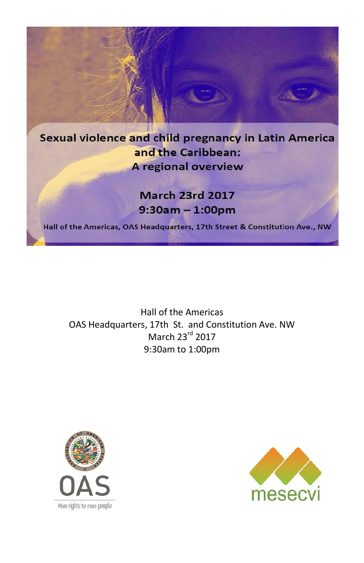

Hall of the Americas OAS Headquarters, 17th St. and Constitution Ave. NW March 23rd 2017 9:30am to 1:00pm



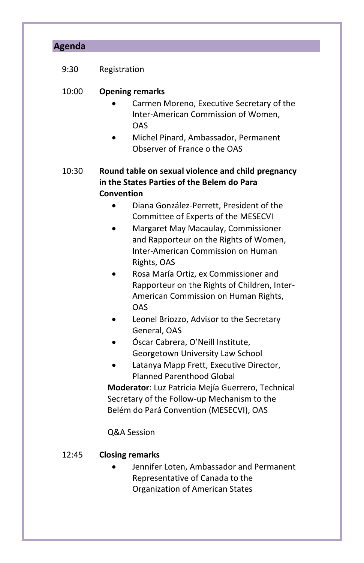| <b>Agenda</b> |                                                                                                                                                                                                        |
|---------------|--------------------------------------------------------------------------------------------------------------------------------------------------------------------------------------------------------|
| 9:30          | Registration                                                                                                                                                                                           |
| 10:00         | <b>Opening remarks</b>                                                                                                                                                                                 |
|               | Carmen Moreno, Executive Secretary of the<br>Inter-American Commission of Women,<br>OAS<br>Michel Pinard, Ambassador, Permanent<br>Observer of France o the OAS                                        |
| 10:30         | Round table on sexual violence and child pregnancy<br>in the States Parties of the Belem do Para<br>Convention                                                                                         |
|               | Diana González-Perrett, President of the<br>Committee of Experts of the MESECVI<br>Margaret May Macaulay, Commissioner<br>and Rapporteur on the Rights of Women,<br>Inter-American Commission on Human |
|               | Rights, OAS<br>Rosa María Ortiz, ex Commissioner and<br>Rapporteur on the Rights of Children, Inter-<br>American Commission on Human Rights,<br>OAS                                                    |
|               | Leonel Briozzo, Advisor to the Secretary<br>General, OAS<br>Óscar Cabrera, O'Neill Institute,                                                                                                          |
|               | Georgetown University Law School<br>Latanya Mapp Frett, Executive Director,<br><b>Planned Parenthood Global</b>                                                                                        |
|               | Moderator: Luz Patricia Mejía Guerrero, Technical<br>Secretary of the Follow-up Mechanism to the<br>Belém do Pará Convention (MESECVI), OAS                                                            |
|               | Q&A Session                                                                                                                                                                                            |
| 12:45         | <b>Closing remarks</b><br>Jennifer Loten, Ambassador and Permanent<br>Representative of Canada to the                                                                                                  |

Organization of American States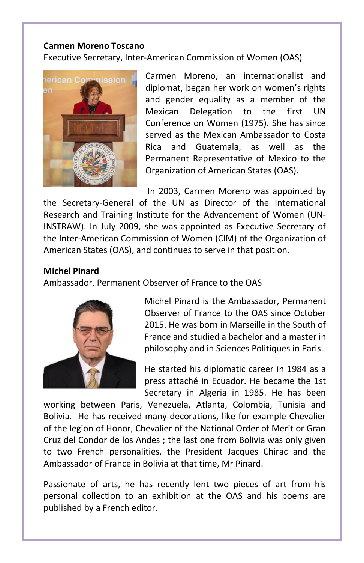## **Carmen Moreno Toscano**

Executive Secretary, Inter-American Commission of Women (OAS)



Carmen Moreno, an internationalist and diplomat, began her work on women's rights and gender equality as a member of the Mexican Delegation to the first UN Conference on Women (1975). She has since served as the Mexican Ambassador to Costa Rica and Guatemala, as well as the Permanent Representative of Mexico to the Organization of American States (OAS).

In 2003, Carmen Moreno was appointed by

the Secretary-General of the UN as Director of the International Research and Training Institute for the Advancement of Women (UN-INSTRAW). In July 2009, she was appointed as Executive Secretary of the Inter-American Commission of Women (CIM) of the Organization of American States (OAS), and continues to serve in that position.

## **Michel Pinard**

Ambassador, Permanent Observer of France to the OAS



Michel Pinard is the Ambassador, Permanent Observer of France to the OAS since October 2015. He was born in Marseille in the South of France and studied a bachelor and a master in philosophy and in Sciences Politiques in Paris.

He started his diplomatic career in 1984 as a press attaché in Ecuador. He became the 1st Secretary in Algeria in 1985. He has been

working between Paris, Venezuela, Atlanta, Colombia, Tunisia and Bolivia. He has received many decorations, like for example Chevalier of the legion of Honor, Chevalier of the National Order of Merit or Gran Cruz del Condor de los Andes ; the last one from Bolivia was only given to two French personalities, the President Jacques Chirac and the Ambassador of France in Bolivia at that time, Mr Pinard.

Passionate of arts, he has recently lent two pieces of art from his personal collection to an exhibition at the OAS and his poems are published by a French editor.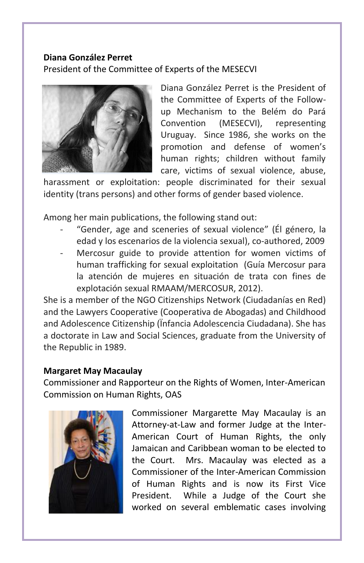# **Diana González Perret**  President of the Committee of Experts of the MESECVI



Diana González Perret is the President of the Committee of Experts of the Followup Mechanism to the Belém do Pará Convention (MESECVI), representing Uruguay. Since 1986, she works on the promotion and defense of women's human rights; children without family care, victims of sexual violence, abuse,

harassment or exploitation: people discriminated for their sexual identity (trans persons) and other forms of gender based violence.

Among her main publications, the following stand out:

- "Gender, age and sceneries of sexual violence" (Él género, la edad y los escenarios de la violencia sexual), co-authored, 2009
- Mercosur guide to provide attention for women victims of human trafficking for sexual exploitation (Guía Mercosur para la atención de mujeres en situación de trata con fines de explotación sexual RMAAM/MERCOSUR, 2012).

She is a member of the NGO Citizenships Network (Ciudadanías en Red) and the Lawyers Cooperative (Cooperativa de Abogadas) and Childhood and Adolescence Citizenship (Ïnfancia Adolescencia Ciudadana). She has a doctorate in Law and Social Sciences, graduate from the University of the Republic in 1989.

# **Margaret May Macaulay**

Commissioner and Rapporteur on the Rights of Women, Inter-American Commission on Human Rights, OAS



Commissioner Margarette May Macaulay is an Attorney-at-Law and former Judge at the Inter-American Court of Human Rights, the only Jamaican and Caribbean woman to be elected to the Court. Mrs. Macaulay was elected as a Commissioner of the Inter-American Commission of Human Rights and is now its First Vice President. While a Judge of the Court she worked on several emblematic cases involving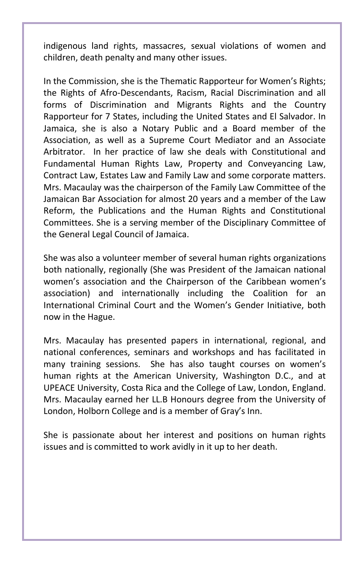indigenous land rights, massacres, sexual violations of women and children, death penalty and many other issues.

In the Commission, she is the Thematic Rapporteur for Women's Rights; the Rights of Afro-Descendants, Racism, Racial Discrimination and all forms of Discrimination and Migrants Rights and the Country Rapporteur for 7 States, including the United States and El Salvador. In Jamaica, she is also a Notary Public and a Board member of the Association, as well as a Supreme Court Mediator and an Associate Arbitrator. In her practice of law she deals with Constitutional and Fundamental Human Rights Law, Property and Conveyancing Law, Contract Law, Estates Law and Family Law and some corporate matters. Mrs. Macaulay was the chairperson of the Family Law Committee of the Jamaican Bar Association for almost 20 years and a member of the Law Reform, the Publications and the Human Rights and Constitutional Committees. She is a serving member of the Disciplinary Committee of the General Legal Council of Jamaica.

She was also a volunteer member of several human rights organizations both nationally, regionally (She was President of the Jamaican national women's association and the Chairperson of the Caribbean women's association) and internationally including the Coalition for an International Criminal Court and the Women's Gender Initiative, both now in the Hague.

Mrs. Macaulay has presented papers in international, regional, and national conferences, seminars and workshops and has facilitated in many training sessions. She has also taught courses on women's human rights at the American University, Washington D.C., and at UPEACE University, Costa Rica and the College of Law, London, England. Mrs. Macaulay earned her LL.B Honours degree from the University of London, Holborn College and is a member of Gray's Inn.

She is passionate about her interest and positions on human rights issues and is committed to work avidly in it up to her death.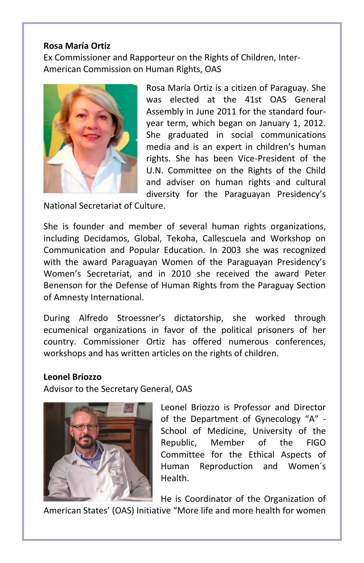## **Rosa María Ortiz**

Ex Commissioner and Rapporteur on the Rights of Children, Inter-American Commission on Human Rights, OAS



Rosa María Ortiz is a citizen of Paraguay. She was elected at the 41st OAS General Assembly in June 2011 for the standard fouryear term, which began on January 1, 2012. She graduated in social communications media and is an expert in children's human rights. She has been Vice-President of the U.N. Committee on the Rights of the Child and adviser on human rights and cultural diversity for the Paraguayan Presidency's

National Secretariat of Culture.

She is founder and member of several human rights organizations, including Decidamos, Global, Tekoha, Callescuela and Workshop on Communication and Popular Education. In 2003 she was recognized with the award Paraguayan Women of the Paraguayan Presidency's Women's Secretariat, and in 2010 she received the award Peter Benenson for the Defense of Human Rights from the Paraguay Section of Amnesty International.

During Alfredo Stroessner's dictatorship, she worked through ecumenical organizations in favor of the political prisoners of her country. Commissioner Ortiz has offered numerous conferences, workshops and has written articles on the rights of children.

### **Leonel Briozzo**

Advisor to the Secretary General, OAS



Leonel Briozzo is Professor and Director of the Department of Gynecology "A" - School of Medicine, University of the Republic, Member of the FIGO Committee for the Ethical Aspects of Human Reproduction and Women´s Health.

He is Coordinator of the Organization of

American States' (OAS) Initiative "More life and more health for women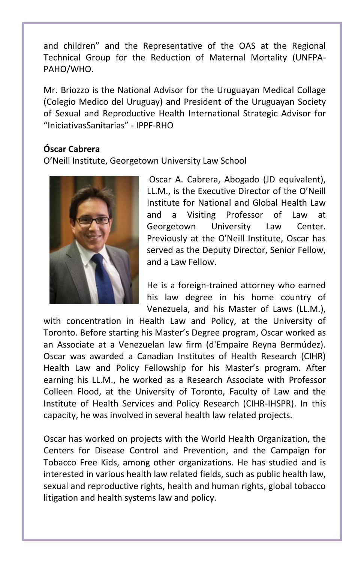and children" and the Representative of the OAS at the Regional Technical Group for the Reduction of Maternal Mortality (UNFPA-PAHO/WHO.

Mr. Briozzo is the National Advisor for the Uruguayan Medical Collage (Colegio Medico del Uruguay) and President of the Uruguayan Society of Sexual and Reproductive Health International Strategic Advisor for "IniciativasSanitarias" - IPPF-RHO

# **Óscar Cabrera**

O'Neill Institute, Georgetown University Law School



Oscar A. Cabrera, Abogado (JD equivalent), LL.M., is the Executive Director of the O'Neill Institute for National and Global Health Law and a Visiting Professor of Law at Georgetown University Law Center. Previously at the O'Neill Institute, Oscar has served as the Deputy Director, Senior Fellow, and a Law Fellow.

He is a foreign-trained attorney who earned his law degree in his home country of Venezuela, and his Master of Laws (LL.M.),

with concentration in Health Law and Policy, at the University of Toronto. Before starting his Master's Degree program, Oscar worked as an Associate at a Venezuelan law firm (d'Empaire Reyna Bermúdez). Oscar was awarded a Canadian Institutes of Health Research (CIHR) Health Law and Policy Fellowship for his Master's program. After earning his LL.M., he worked as a Research Associate with Professor Colleen Flood, at the University of Toronto, Faculty of Law and the Institute of Health Services and Policy Research (CIHR-IHSPR). In this capacity, he was involved in several health law related projects.

Oscar has worked on projects with the World Health Organization, the Centers for Disease Control and Prevention, and the Campaign for Tobacco Free Kids, among other organizations. He has studied and is interested in various health law related fields, such as public health law, sexual and reproductive rights, health and human rights, global tobacco litigation and health systems law and policy.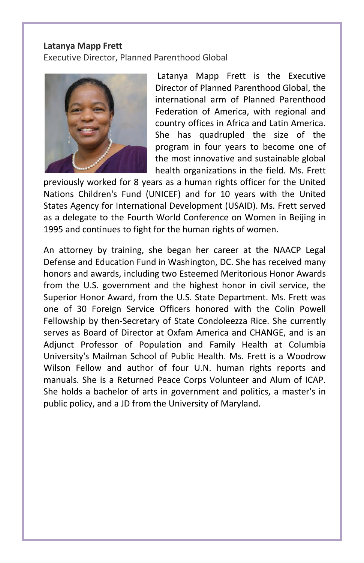#### **Latanya Mapp Frett**

Executive Director, Planned Parenthood Global



Latanya Mapp Frett is the Executive Director of Planned Parenthood Global, the international arm of Planned Parenthood Federation of America, with regional and country offices in Africa and Latin America. She has quadrupled the size of the program in four years to become one of the most innovative and sustainable global health organizations in the field. Ms. Frett

previously worked for 8 years as a human rights officer for the United Nations Children's Fund (UNICEF) and for 10 years with the United States Agency for International Development (USAID). Ms. Frett served as a delegate to the Fourth World Conference on Women in Beijing in 1995 and continues to fight for the human rights of women.

An attorney by training, she began her career at the NAACP Legal Defense and Education Fund in Washington, DC. She has received many honors and awards, including two Esteemed Meritorious Honor Awards from the U.S. government and the highest honor in civil service, the Superior Honor Award, from the U.S. State Department. Ms. Frett was one of 30 Foreign Service Officers honored with the Colin Powell Fellowship by then-Secretary of State Condoleezza Rice. She currently serves as Board of Director at Oxfam America and CHANGE, and is an Adjunct Professor of Population and Family Health at Columbia University's Mailman School of Public Health. Ms. Frett is a Woodrow Wilson Fellow and author of four U.N. human rights reports and manuals. She is a Returned Peace Corps Volunteer and Alum of ICAP. She holds a bachelor of arts in government and politics, a master's in public policy, and a JD from the University of Maryland.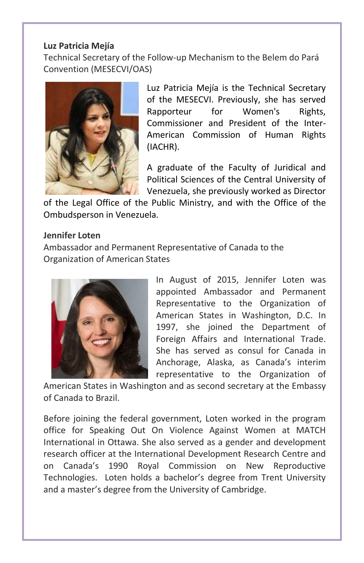# **Luz Patricia Mejía**

Technical Secretary of the Follow-up Mechanism to the Belem do Pará Convention (MESECVI/OAS)



Luz Patricia Mejía is the Technical Secretary of the MESECVI. Previously, she has served Rapporteur for Women's Rights, Commissioner and President of the Inter-American Commission of Human Rights (IACHR).

A graduate of the Faculty of Juridical and Political Sciences of the Central University of Venezuela, she previously worked as Director

of the Legal Office of the Public Ministry, and with the Office of the Ombudsperson in Venezuela.

## **Jennifer Loten**

Ambassador and Permanent Representative of Canada to the Organization of American States



In August of 2015, Jennifer Loten was appointed Ambassador and Permanent Representative to the Organization of American States in Washington, D.C. In 1997, she joined the Department of Foreign Affairs and International Trade. She has served as consul for Canada in Anchorage, Alaska, as Canada's interim representative to the Organization of

American States in Washington and as second secretary at the Embassy of Canada to Brazil.

Before joining the federal government, Loten worked in the program office for Speaking Out On Violence Against Women at MATCH International in Ottawa. She also served as a gender and development research officer at the International Development Research Centre and on Canada's 1990 Royal Commission on New Reproductive Technologies. Loten holds a bachelor's degree from Trent University and a master's degree from the University of Cambridge.